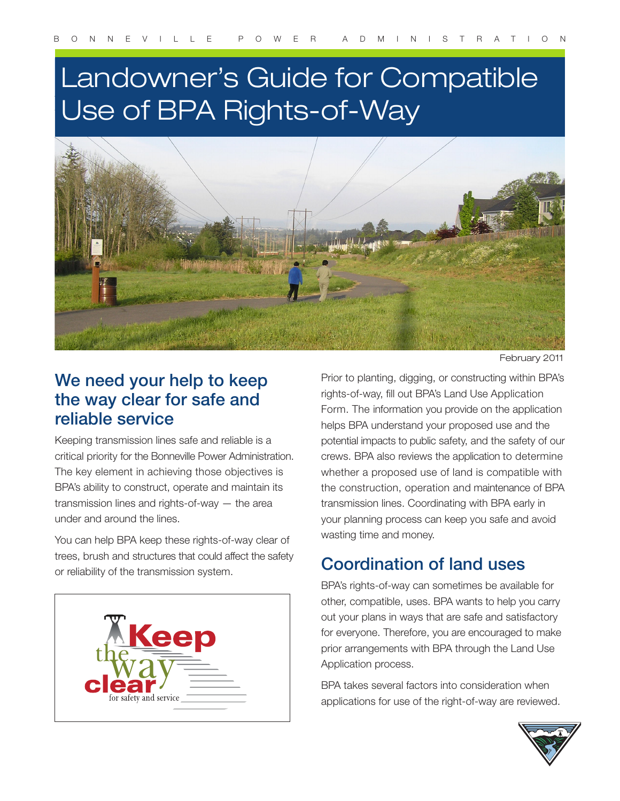# Landowner's Guide for Compatible Use of BPA Rights-of-Way



February 2011

#### We need your help to keep the way clear for safe and reliable service

Keeping transmission lines safe and reliable is a critical priority for the Bonneville Power Administration. The key element in achieving those objectives is BPA's ability to construct, operate and maintain its transmission lines and rights-of-way — the area under and around the lines.

You can help BPA keep these rights-of-way clear of trees, brush and structures that could affect the safety or reliability of the transmission system.



Prior to planting, digging, or constructing within BPA's rights-of-way, fill out BPA's Land Use Application Form. The information you provide on the application helps BPA understand your proposed use and the potential impacts to public safety, and the safety of our crews. BPA also reviews the application to determine whether a proposed use of land is compatible with the construction, operation and maintenance of BPA transmission lines. Coordinating with BPA early in your planning process can keep you safe and avoid wasting time and money.

## Coordination of land uses

BPA's rights-of-way can sometimes be available for other, compatible, uses. BPA wants to help you carry out your plans in ways that are safe and satisfactory for everyone. Therefore, you are encouraged to make prior arrangements with BPA through the Land Use Application process.

BPA takes several factors into consideration when applications for use of the right-of-way are reviewed.

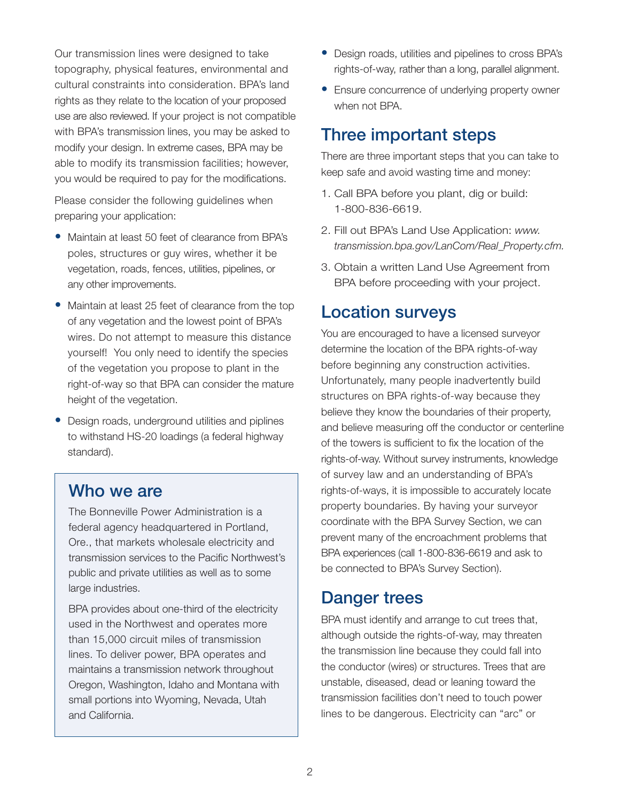Our transmission lines were designed to take topography, physical features, environmental and cultural constraints into consideration. BPA's land rights as they relate to the location of your proposed use are also reviewed. If your project is not compatible with BPA's transmission lines, you may be asked to modify your design. In extreme cases, BPA may be able to modify its transmission facilities; however, you would be required to pay for the modifications.

Please consider the following guidelines when preparing your application:

- Maintain at least 50 feet of clearance from BPA's poles, structures or guy wires, whether it be vegetation, roads, fences, utilities, pipelines, or any other improvements.
- Maintain at least 25 feet of clearance from the top of any vegetation and the lowest point of BPA's wires. Do not attempt to measure this distance yourself! You only need to identify the species of the vegetation you propose to plant in the right-of-way so that BPA can consider the mature height of the vegetation.
- Design roads, underground utilities and piplines to withstand HS-20 loadings (a federal highway standard).

#### Who we are

The Bonneville Power Administration is a federal agency headquartered in Portland, Ore., that markets wholesale electricity and transmission services to the Pacific Northwest's public and private utilities as well as to some large industries.

BPA provides about one-third of the electricity used in the Northwest and operates more than 15,000 circuit miles of transmission lines. To deliver power, BPA operates and maintains a transmission network throughout Oregon, Washington, Idaho and Montana with small portions into Wyoming, Nevada, Utah and California.

- Design roads, utilities and pipelines to cross BPA's rights-of-way, rather than a long, parallel alignment.
- Ensure concurrence of underlying property owner when not BPA.

#### Three important steps

There are three important steps that you can take to keep safe and avoid wasting time and money:

- 1. Call BPA before you plant, dig or build: 1-800-836-6619.
- 2. Fill out BPA's Land Use Application: *www. transmission.bpa.gov/LanCom/Real\_Property.cfm.*
- 3. Obtain a written Land Use Agreement from BPA before proceeding with your project.

#### Location surveys

You are encouraged to have a licensed surveyor determine the location of the BPA rights-of-way before beginning any construction activities. Unfortunately, many people inadvertently build structures on BPA rights-of-way because they believe they know the boundaries of their property, and believe measuring off the conductor or centerline of the towers is sufficient to fix the location of the rights-of-way. Without survey instruments, knowledge of survey law and an understanding of BPA's rights-of-ways, it is impossible to accurately locate property boundaries. By having your surveyor coordinate with the BPA Survey Section, we can prevent many of the encroachment problems that BPA experiences (call 1-800-836-6619 and ask to be connected to BPA's Survey Section).

#### Danger trees

BPA must identify and arrange to cut trees that, although outside the rights-of-way, may threaten the transmission line because they could fall into the conductor (wires) or structures. Trees that are unstable, diseased, dead or leaning toward the transmission facilities don't need to touch power lines to be dangerous. Electricity can "arc" or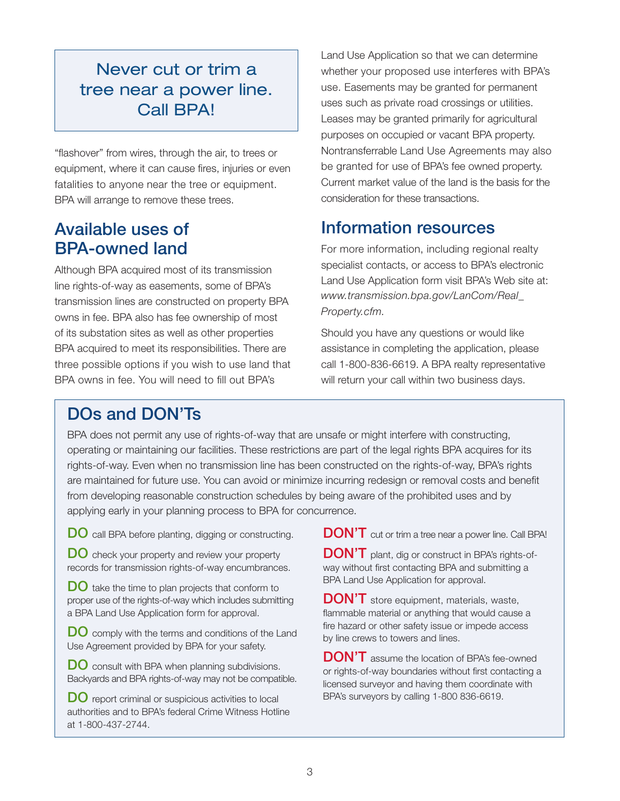#### Never cut or trim a tree near a power line. Call BPA!

"flashover" from wires, through the air, to trees or equipment, where it can cause fires, injuries or even fatalities to anyone near the tree or equipment. BPA will arrange to remove these trees.

#### Available uses of BPA-owned land

Although BPA acquired most of its transmission line rights-of-way as easements, some of BPA's transmission lines are constructed on property BPA owns in fee. BPA also has fee ownership of most of its substation sites as well as other properties BPA acquired to meet its responsibilities. There are three possible options if you wish to use land that BPA owns in fee. You will need to fill out BPA's

Land Use Application so that we can determine whether your proposed use interferes with BPA's use. Easements may be granted for permanent uses such as private road crossings or utilities. Leases may be granted primarily for agricultural purposes on occupied or vacant BPA property. Nontransferrable Land Use Agreements may also be granted for use of BPA's fee owned property. Current market value of the land is the basis for the consideration for these transactions.

#### Information resources

For more information, including regional realty specialist contacts, or access to BPA's electronic Land Use Application form visit BPA's Web site at: *www.transmission.bpa.gov/LanCom/Real\_ Property.cfm.*

Should you have any questions or would like assistance in completing the application, please call 1-800-836-6619. A BPA realty representative will return your call within two business days.

### DOs and DON'Ts

BPA does not permit any use of rights-of-way that are unsafe or might interfere with constructing, operating or maintaining our facilities. These restrictions are part of the legal rights BPA acquires for its rights-of-way. Even when no transmission line has been constructed on the rights-of-way, BPA's rights are maintained for future use. You can avoid or minimize incurring redesign or removal costs and benefit from developing reasonable construction schedules by being aware of the prohibited uses and by applying early in your planning process to BPA for concurrence.

DO call BPA before planting, digging or constructing.

DO check your property and review your property records for transmission rights-of-way encumbrances.

**DO** take the time to plan projects that conform to proper use of the rights-of-way which includes submitting a BPA Land Use Application form for approval.

DO comply with the terms and conditions of the Land Use Agreement provided by BPA for your safety.

DO consult with BPA when planning subdivisions. Backyards and BPA rights-of-way may not be compatible.

DO report criminal or suspicious activities to local authorities and to BPA's federal Crime Witness Hotline at 1-800-437-2744.

DON'T cut or trim a tree near a power line. Call BPA!

DON'T plant, dig or construct in BPA's rights-ofway without first contacting BPA and submitting a BPA Land Use Application for approval.

DON'T store equipment, materials, waste, flammable material or anything that would cause a fire hazard or other safety issue or impede access by line crews to towers and lines.

DON'T assume the location of BPA's fee-owned or rights-of-way boundaries without first contacting a licensed surveyor and having them coordinate with BPA's surveyors by calling 1-800 836-6619.